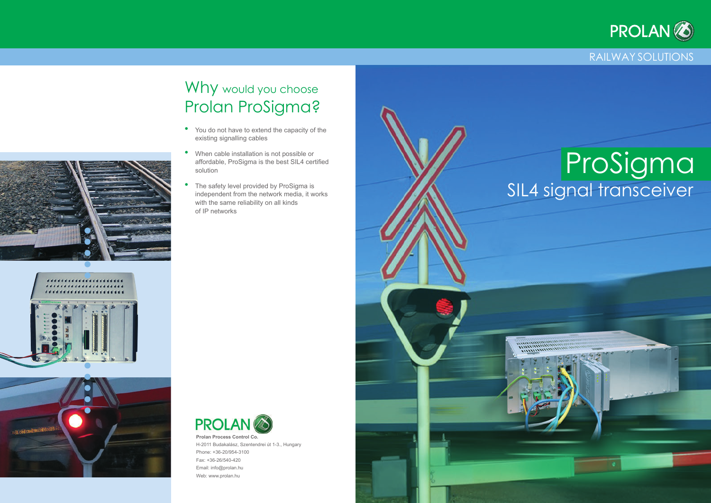### Railway Solutions

# Why would you choose Prolan ProSigma?

- You do not have to extend the capacity of the existing signalling cables
- When cable installation is not possible or affordable, ProSigma is the best SIL4 certified solution
- The safety level provided by ProSigma is independent from the network media, it works with the same reliability on all kinds of IP networks











H-2011 Budakalász, Szentendrei út 1-3., Hungary Phone: +36-20/954-3100 Fax: +36-26/540-420 Email: info@prolan.hu Web: www.prolan.hu